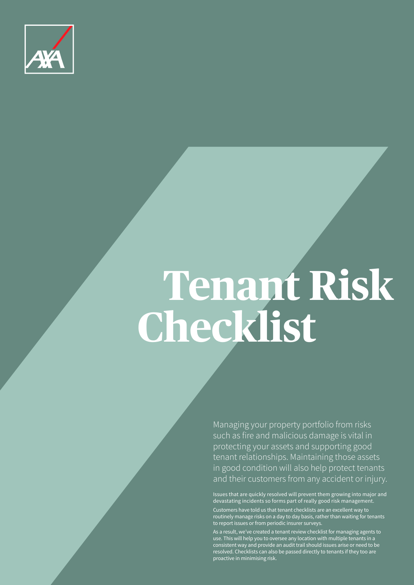

# **Tenant Risk Checklist**

Managing your property portfolio from risks such as fire and malicious damage is vital in protecting your assets and supporting good tenant relationships. Maintaining those assets in good condition will also help protect tenants and their customers from any accident or injury.

Issues that are quickly resolved will prevent them growing into major and devastating incidents so forms part of really good risk management. Customers have told us that tenant checklists are an excellent way to routinely manage risks on a day to day basis, rather than waiting for tenants to report issues or from periodic insurer surveys.

As a result, we've created a tenant review checklist for managing agents to use. This will help you to oversee any location with multiple tenants in a consistent way and provide an audit trail should issues arise or need to be resolved. Checklists can also be passed directly to tenants if they too are proactive in minimising risk.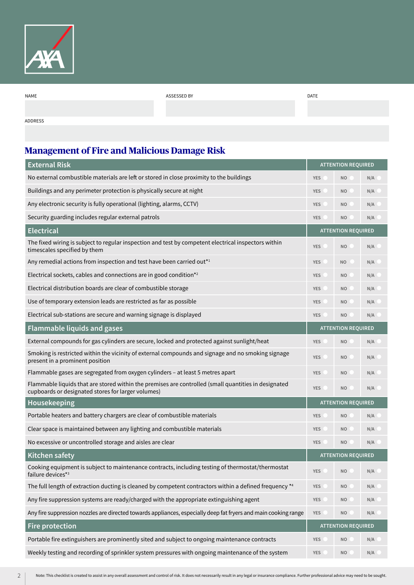

| NAME    | ASSESSED BY | <b>DATE</b> |
|---------|-------------|-------------|
|         |             |             |
|         |             |             |
| ADDRESS |             |             |

**Management of Fire and Malicious Damage Risk**

| <b>External Risk</b>                                                                                                                                       |                           | <b>ATTENTION REQUIRED</b> |     |  |
|------------------------------------------------------------------------------------------------------------------------------------------------------------|---------------------------|---------------------------|-----|--|
| No external combustible materials are left or stored in close proximity to the buildings                                                                   | <b>YES</b>                | <b>NO</b>                 | N/A |  |
| Buildings and any perimeter protection is physically secure at night                                                                                       |                           | <b>NO</b>                 | N/A |  |
| Any electronic security is fully operational (lighting, alarms, CCTV)                                                                                      |                           | <b>NO</b>                 | N/A |  |
| Security guarding includes regular external patrols                                                                                                        | <b>YES</b>                | <b>NO</b>                 | N/A |  |
| <b>Electrical</b>                                                                                                                                          |                           | <b>ATTENTION REQUIRED</b> |     |  |
| The fixed wiring is subject to regular inspection and test by competent electrical inspectors within<br>timescales specified by them                       | <b>YES</b>                | N <sub>O</sub>            | N/A |  |
| Any remedial actions from inspection and test have been carried out* <sup>1</sup>                                                                          | <b>YES</b>                | <b>NO</b>                 | N/A |  |
| Electrical sockets, cables and connections are in good condition* <sup>2</sup>                                                                             |                           | N <sub>O</sub>            | N/A |  |
| Electrical distribution boards are clear of combustible storage                                                                                            | <b>YES</b>                | N <sub>O</sub>            | N/A |  |
| Use of temporary extension leads are restricted as far as possible                                                                                         | <b>YES</b>                | N <sub>O</sub>            | N/A |  |
| Electrical sub-stations are secure and warning signage is displayed                                                                                        | <b>YES</b>                | N <sub>O</sub>            | N/A |  |
| <b>Flammable liquids and gases</b>                                                                                                                         | <b>ATTENTION REQUIRED</b> |                           |     |  |
| External compounds for gas cylinders are secure, locked and protected against sunlight/heat                                                                | <b>YES</b>                | <b>NO</b>                 | N/A |  |
| Smoking is restricted within the vicinity of external compounds and signage and no smoking signage<br>present in a prominent position                      | <b>YES</b>                | <b>NO</b>                 | N/A |  |
| Flammable gases are segregated from oxygen cylinders - at least 5 metres apart                                                                             | <b>YES</b>                | <b>NO</b>                 | N/A |  |
| Flammable liquids that are stored within the premises are controlled (small quantities in designated<br>cupboards or designated stores for larger volumes) | <b>YES</b>                | N <sub>O</sub>            | N/A |  |
| Housekeeping                                                                                                                                               |                           | <b>ATTENTION REQUIRED</b> |     |  |
| Portable heaters and battery chargers are clear of combustible materials                                                                                   | <b>YES</b>                | N <sub>O</sub>            | N/A |  |
| Clear space is maintained between any lighting and combustible materials                                                                                   | <b>YES</b>                | N <sub>O</sub>            | N/A |  |
| No excessive or uncontrolled storage and aisles are clear                                                                                                  | <b>YES</b>                | <b>NO</b>                 | N/A |  |
| Kitchen safety                                                                                                                                             |                           | <b>ATTENTION REQUIRED</b> |     |  |
| Cooking equipment is subject to maintenance contracts, including testing of thermostat/thermostat<br>failure devices* <sup>3</sup>                         | <b>YES</b>                | <b>NO</b>                 | N/A |  |
| The full length of extraction ducting is cleaned by competent contractors within a defined frequency <sup>*4</sup>                                         | <b>YES</b>                | <b>NO</b>                 | N/A |  |
| Any fire suppression systems are ready/charged with the appropriate extinguishing agent                                                                    | <b>YES</b>                | <b>NO</b>                 | N/A |  |
| Any fire suppression nozzles are directed towards appliances, especially deep fat fryers and main cooking range                                            | <b>YES</b>                | <b>NO</b>                 | N/A |  |
| <b>Fire protection</b>                                                                                                                                     | <b>ATTENTION REQUIRED</b> |                           |     |  |
| Portable fire extinguishers are prominently sited and subject to ongoing maintenance contracts                                                             | <b>YES</b>                | <b>NO</b>                 | N/A |  |
| Weekly testing and recording of sprinkler system pressures with ongoing maintenance of the system                                                          | <b>YES</b>                | <b>NO</b>                 | N/A |  |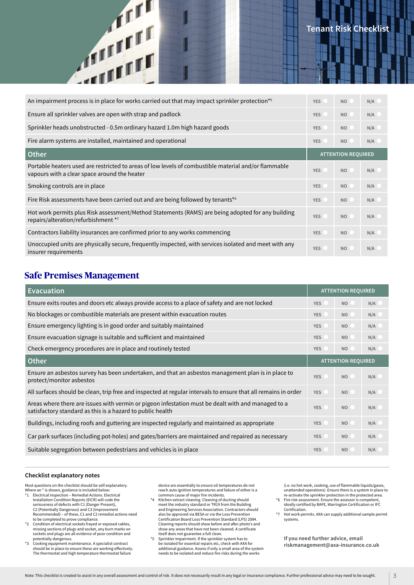| <b>THE</b>                                                                                                                                           | <b>Tenant Risk Checklis</b> |                           |     |
|------------------------------------------------------------------------------------------------------------------------------------------------------|-----------------------------|---------------------------|-----|
| An impairment process is in place for works carried out that may impact sprinkler protection* <sup>5</sup>                                           | <b>YES</b>                  | <b>NO</b>                 | N/A |
| Ensure all sprinkler valves are open with strap and padlock                                                                                          | <b>YES</b>                  | <b>NO</b>                 | N/A |
| Sprinkler heads unobstructed - 0.5m ordinary hazard 1.0m high hazard goods                                                                           | <b>YES</b>                  | <b>NO</b>                 | N/A |
| Fire alarm systems are installed, maintained and operational                                                                                         | <b>YES</b>                  | <b>NO</b>                 | N/A |
| Other                                                                                                                                                |                             | <b>ATTENTION REQUIRED</b> |     |
| Portable heaters used are restricted to areas of low levels of combustible material and/or flammable<br>vapours with a clear space around the heater | <b>YES</b>                  | <b>NO</b>                 | N/A |
| Smoking controls are in place                                                                                                                        | <b>YES</b>                  | <b>NO</b>                 | N/A |
| Fire Risk assessments have been carried out and are being followed by tenants* <sup>6</sup>                                                          | <b>YES</b>                  | N <sub>O</sub>            | N/A |
| Hot work permits plus Risk assessment/Method Statements (RAMS) are being adopted for any building<br>repairs/alteration/refurbishment *7             | <b>YES</b>                  | <b>NO</b>                 | N/A |
| Contractors liability insurances are confirmed prior to any works commencing                                                                         | <b>YES</b>                  | N <sub>O</sub>            | N/A |
| Unoccupied units are physically secure, frequently inspected, with services isolated and meet with any<br>insurer requirements                       | <b>YES</b>                  | <b>NO</b>                 | N/A |

# **Safe Premises Management**

 $\mathbf{u}$ 

| <b>Evacuation</b>                                                                                                                                                |                           | <b>ATTENTION REQUIRED</b> |     |
|------------------------------------------------------------------------------------------------------------------------------------------------------------------|---------------------------|---------------------------|-----|
| Ensure exits routes and doors etc always provide access to a place of safety and are not locked                                                                  | <b>YES</b>                | NO                        | N/A |
| No blockages or combustible materials are present within evacuation routes                                                                                       | <b>YES</b>                | NO                        | N/A |
| Ensure emergency lighting is in good order and suitably maintained                                                                                               | <b>YES</b>                | NO                        | N/A |
| Ensure evacuation signage is suitable and sufficient and maintained                                                                                              | <b>YES</b>                | NO                        | N/A |
| Check emergency procedures are in place and routinely tested                                                                                                     | <b>YES</b>                | N <sub>O</sub>            | N/A |
| <b>Other</b>                                                                                                                                                     | <b>ATTENTION REQUIRED</b> |                           |     |
| Ensure an asbestos survey has been undertaken, and that an asbestos management plan is in place to<br>protect/monitor asbestos                                   | <b>YES</b>                | N <sub>O</sub>            | N/A |
| All surfaces should be clean, trip free and inspected at regular intervals to ensure that all remains in order                                                   | <b>YES</b>                | <b>NO</b>                 | N/A |
| Areas where there are issues with vermin or pigeon infestation must be dealt with and managed to a<br>satisfactory standard as this is a hazard to public health |                           | NO                        | N/A |
| Buildings, including roofs and guttering are inspected regularly and maintained as appropriate                                                                   | <b>YES</b>                | <b>NO</b>                 | N/A |
| Car park surfaces (including pot-holes) and gates/barriers are maintained and repaired as necessary                                                              | <b>YES</b>                | <b>NO</b>                 | N/A |
| Suitable segregation between pedestrians and vehicles is in place                                                                                                | <b>YES</b>                | N <sub>O</sub>            | N/A |

### **Checklist explanatory notes**

Most questions on the checklist should be self-explanatory.

- Where an \* is shown, guidance is included below:<br>\*1 Electrical inspection Remedial Actions. Ele \*1 Electrical inspection – Remedial Actions. Electrical Installation Condition Reports (EICR) will code the seriousness of defects with C1 (Danger Present), C2 (Potentially Dangerous) and C3 (Improvement Recommended) – of these, C1 and C2 remedial actions need
- to be completed to prove compliance. \*2 Condition of electrical sockets frayed or exposed cables, missing sections of plugs and socket, any burn marks on sockets and plugs are all evidence of poor condition and
- potentially dangerous. \*3 Cooking equipment maintenance. A specialist contract should be in place to ensure these are working effectively. The thermostat and high temperature thermostat failure

device are essentially to ensure oil temperatures do not reach auto ignition temperatures and failure of either is a

- common cause of major fire incidents. \*4 Kitchen extract cleaning. Cleaning of ducting should meet the industry standard or TR19 from the Building and Engineering Services Association. Contractors should also be approved via BESA or via the Loss Prevention Certification Board Loss Prevention Standard (LPS) 2084. Cleaning reports should show before and after photo's and show any areas that have not been cleaned. A certificate
- itself does not guarantee a full clean. \*5 Sprinkler impairment. If the sprinkler system has to be isolated for essential repairs etc, check with AXA for additional guidance. Assess if only a small area of the system needs to be isolated and reduce fire risks during the works

(i.e. no hot work, cooking, use of flammable liquids/gases, unattended operations). Ensure there is a system in place to re-activate the sprinkler protection in the protected area. \*6 Fire risk assessment. Ensure the assessor is competent,

- ideally certified by BAFE, Warrington Certification or IFC Certification. \*7 Hot work permits. AXA can supply additional sample permit
- systems.

**If you need further advice, email riskmanagement@axa-insurance.co.uk**